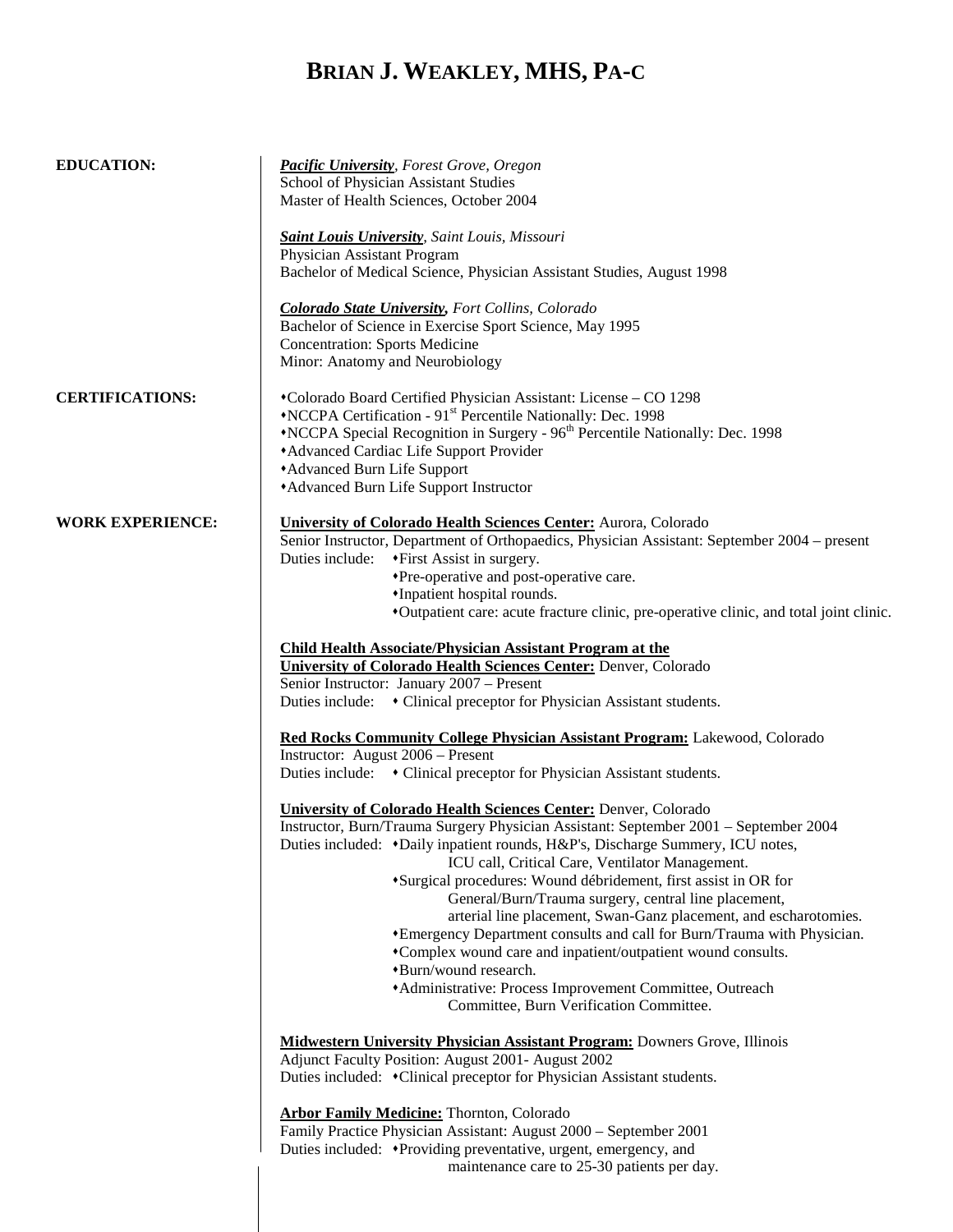## **BRIAN J. WEAKLEY, MHS, PA-C**

| <b>EDUCATION:</b>       | <b>Pacific University</b> , Forest Grove, Oregon<br>School of Physician Assistant Studies<br>Master of Health Sciences, October 2004<br><b>Saint Louis University</b> , Saint Louis, Missouri                                                                                                                                                                                                                                                                                                                                                                                                                                                                                                                                                                                                                                                                                                                                                                                                                                                                                                                                                                                                                                                                                                                                                                                                                                                                                                                                                                                                                                                                                                                                                                                                     |
|-------------------------|---------------------------------------------------------------------------------------------------------------------------------------------------------------------------------------------------------------------------------------------------------------------------------------------------------------------------------------------------------------------------------------------------------------------------------------------------------------------------------------------------------------------------------------------------------------------------------------------------------------------------------------------------------------------------------------------------------------------------------------------------------------------------------------------------------------------------------------------------------------------------------------------------------------------------------------------------------------------------------------------------------------------------------------------------------------------------------------------------------------------------------------------------------------------------------------------------------------------------------------------------------------------------------------------------------------------------------------------------------------------------------------------------------------------------------------------------------------------------------------------------------------------------------------------------------------------------------------------------------------------------------------------------------------------------------------------------------------------------------------------------------------------------------------------------|
|                         | Physician Assistant Program<br>Bachelor of Medical Science, Physician Assistant Studies, August 1998                                                                                                                                                                                                                                                                                                                                                                                                                                                                                                                                                                                                                                                                                                                                                                                                                                                                                                                                                                                                                                                                                                                                                                                                                                                                                                                                                                                                                                                                                                                                                                                                                                                                                              |
|                         | <b>Colorado State University, Fort Collins, Colorado</b><br>Bachelor of Science in Exercise Sport Science, May 1995<br><b>Concentration: Sports Medicine</b><br>Minor: Anatomy and Neurobiology                                                                                                                                                                                                                                                                                                                                                                                                                                                                                                                                                                                                                                                                                                                                                                                                                                                                                                                                                                                                                                                                                                                                                                                                                                                                                                                                                                                                                                                                                                                                                                                                   |
| <b>CERTIFICATIONS:</b>  | *Colorado Board Certified Physician Assistant: License - CO 1298<br>*NCCPA Certification - 91 <sup>st</sup> Percentile Nationally: Dec. 1998<br>*NCCPA Special Recognition in Surgery - 96 <sup>th</sup> Percentile Nationally: Dec. 1998<br>*Advanced Cardiac Life Support Provider<br>*Advanced Burn Life Support<br>*Advanced Burn Life Support Instructor                                                                                                                                                                                                                                                                                                                                                                                                                                                                                                                                                                                                                                                                                                                                                                                                                                                                                                                                                                                                                                                                                                                                                                                                                                                                                                                                                                                                                                     |
| <b>WORK EXPERIENCE:</b> | <b>University of Colorado Health Sciences Center:</b> Aurora, Colorado<br>Senior Instructor, Department of Orthopaedics, Physician Assistant: September 2004 - present<br>◆ First Assist in surgery.<br>Duties include:<br>*Pre-operative and post-operative care.<br>•Inpatient hospital rounds.<br>*Outpatient care: acute fracture clinic, pre-operative clinic, and total joint clinic.<br><b>Child Health Associate/Physician Assistant Program at the</b><br><b>University of Colorado Health Sciences Center: Denver, Colorado</b><br>Senior Instructor: January 2007 - Present<br>Duties include: • Clinical preceptor for Physician Assistant students.<br><b>Red Rocks Community College Physician Assistant Program:</b> Lakewood, Colorado<br>Instructor: August 2006 - Present<br>Duties include: • Clinical preceptor for Physician Assistant students.<br><b>University of Colorado Health Sciences Center: Denver, Colorado</b><br>Instructor, Burn/Trauma Surgery Physician Assistant: September 2001 - September 2004<br>Duties included: •Daily inpatient rounds, H&P's, Discharge Summery, ICU notes,<br>ICU call, Critical Care, Ventilator Management.<br>*Surgical procedures: Wound débridement, first assist in OR for<br>General/Burn/Trauma surgery, central line placement,<br>arterial line placement, Swan-Ganz placement, and escharotomies.<br>*Emergency Department consults and call for Burn/Trauma with Physician.<br>*Complex wound care and inpatient/outpatient wound consults.<br>*Burn/wound research.<br>*Administrative: Process Improvement Committee, Outreach<br>Committee, Burn Verification Committee.<br><b>Midwestern University Physician Assistant Program: Downers Grove, Illinois</b><br>Adjunct Faculty Position: August 2001- August 2002 |
|                         | Duties included: • Clinical preceptor for Physician Assistant students.<br><b>Arbor Family Medicine:</b> Thornton, Colorado<br>Family Practice Physician Assistant: August 2000 - September 2001<br>Duties included: • Providing preventative, urgent, emergency, and<br>maintenance care to 25-30 patients per day.                                                                                                                                                                                                                                                                                                                                                                                                                                                                                                                                                                                                                                                                                                                                                                                                                                                                                                                                                                                                                                                                                                                                                                                                                                                                                                                                                                                                                                                                              |